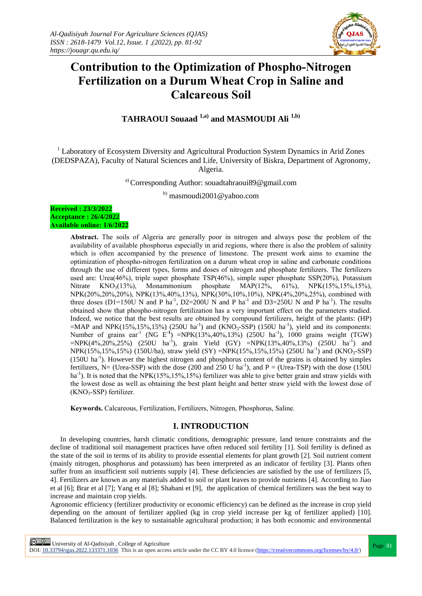

# **Contribution to the Optimization of Phospho-Nitrogen Fertilization on a Durum Wheat Crop in Saline and Calcareous Soil**

**TAHRAOUI Souaad 1,a) and MASMOUDI Ali 1,b)**

<sup>1</sup> Laboratory of Ecosystem Diversity and Agricultural Production System Dynamics in Arid Zones (DEDSPAZA), Faculty of Natural Sciences and Life, University of Biskra, Department of Agronomy, Algeria.

a) Corresponding Author: souadtahraoui89@gmail.com

 $b)$  masmoudi2001@yahoo.com

**Received : 23/3/2022 Acceptance : 26/4/2022 Available online: 1/6/2022**

> **Abstract.** The soils of Algeria are generally poor in nitrogen and always pose the problem of the availability of available phosphorus especially in arid regions, where there is also the problem of salinity which is often accompanied by the presence of limestone. The present work aims to examine the optimization of phospho-nitrogen fertilization on a durum wheat crop in saline and carbonate conditions through the use of different types, forms and doses of nitrogen and phosphate fertilizers. The fertilizers used are: Urea(46%), triple super phosphate TSP(46%), simple super phosphate SSP(20%), Potassium Nitrate  $KNO_3(13\%)$ , Monammonium phosphate  $MAP(12\%$ , 61%),  $NPK(15\%15\%15\%)$ NPK(20%,20%,20%), NPK(13%,40%,13%), NPK(30%,10%,10%), NPK(4%,20%,25%), combined with three doses (D1=150U N and P ha<sup>-1</sup>, D2=200U N and P ha<sup>-1</sup> and D3=250U N and P ha<sup>-1</sup>). The results obtained show that phospho-nitrogen fertilization has a very important effect on the parameters studied. Indeed, we notice that the best results are obtained by compound fertilizers, height of the plants: (HP) =MAP and NPK(15%,15%,15%) (250U ha<sup>-1</sup>) and (KNO<sub>3</sub>-SSP) (150U ha<sup>-1</sup>), yield and its components: Number of grains ear<sup>-1</sup> (NG E<sup>-1</sup>) =NPK(13%,40%,13%) (250U ha<sup>-1</sup>), 1000 grains weight (TGW)  $=$ NPK(4%,20%,25%) (250U ha<sup>-1</sup>), grain Yield (GY)  $=$ NPK(13%,40%,13%) (250U ha<sup>-1</sup>) and  $NPK(15\%, 15\%, 15\%)$  (150U/ha), straw yield (SY) =NPK(15%,15%,15%) (250U ha<sup>-1</sup>) and (KNO<sub>3</sub>-SSP)  $(150U)$  ha<sup>-1</sup>). However the highest nitrogen and phosphorus content of the grains is obtained by simples fertilizers, N= (Urea-SSP) with the dose (200 and 250 U ha<sup>-1</sup>), and P = (Urea-TSP) with the dose (150U ha<sup>-1</sup>). It is noted that the NPK(15%,15%,15%) fertilizer was able to give better grain and straw yields with the lowest dose as well as obtaining the best plant height and better straw yield with the lowest dose of  $(KNO<sub>3</sub>-SSP)$  fertilizer.

**Keywords.** Calcareous, Fertilization, Fertilizers, Nitrogen, Phosphorus, Saline.

# **I. INTRODUCTION**

In developing countries, harsh climatic conditions, demographic pressure, land tenure constraints and the decline of traditional soil management practices have often reduced soil fertility [1]. Soil fertility is defined as the state of the soil in terms of its ability to provide essential elements for plant growth [2]. Soil nutrient content (mainly nitrogen, phosphorus and potassium) has been interpreted as an indicator of fertility [3]. Plants often suffer from an insufficient soil nutrients supply [4]. These deficiencies are satisfied by the use of fertilizers [5, 4]. Fertilizers are known as any materials added to soil or plant leaves to provide nutrients [4]. According to Jiao et al [6]; Brar et al [7]; Yang et al [8]; Shabani et [9], the application of chemical fertilizers was the best way to increase and maintain crop yields.

Agronomic efficiency (fertilizer productivity or economic efficiency) can be defined as the increase in crop yield depending on the amount of fertilizer applied (kg in crop yield increase per kg of fertilizer applied) [10]. Balanced fertilization is the key to sustainable agricultural production; it has both economic and environmental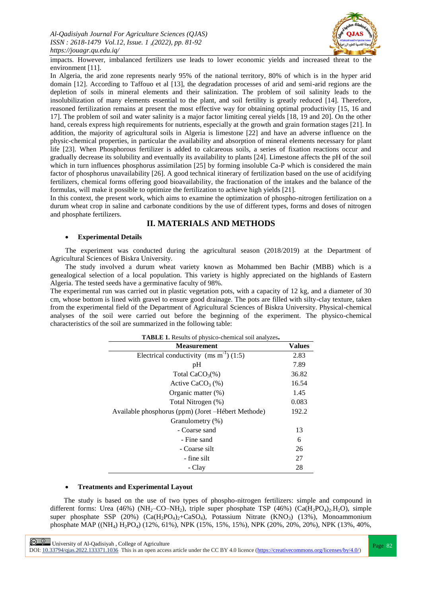

impacts. However, imbalanced fertilizers use leads to lower economic yields and increased threat to the environment [11].

In Algeria, the arid zone represents nearly 95% of the national territory, 80% of which is in the hyper arid domain [12]. According to Taffouo et al [13], the degradation processes of arid and semi-arid regions are the depletion of soils in mineral elements and their salinization. The problem of soil salinity leads to the insolubilization of many elements essential to the plant, and soil fertility is greatly reduced [14]. Therefore, reasoned fertilization remains at present the most effective way for obtaining optimal productivity [15, 16 and 17]. The problem of soil and water salinity is a major factor limiting cereal yields [18, 19 and 20]. On the other hand, cereals express high requirements for nutrients, especially at the growth and grain formation stages [21]. In addition, the majority of agricultural soils in Algeria is limestone [22] and have an adverse influence on the physic-chemical properties, in particular the availability and absorption of mineral elements necessary for plant life [23]. When Phosphorous fertilizer is added to calcareous soils, a series of fixation reactions occur and gradually decrease its solubility and eventually its availability to plants [24]. Limestone affects the pH of the soil which in turn influences phosphorus assimilation [25] by forming insoluble Ca-P which is considered the main factor of phosphorus unavailability [26]. A good technical itinerary of fertilization based on the use of acidifying fertilizers, chemical forms offering good bioavailability, the fractionation of the intakes and the balance of the formulas, will make it possible to optimize the fertilization to achieve high yields [21].

In this context, the present work, which aims to examine the optimization of phospho-nitrogen fertilization on a durum wheat crop in saline and carbonate conditions by the use of different types, forms and doses of nitrogen and phosphate fertilizers.

# **II. MATERIALS AND METHODS**

#### **Experimental Details**

The experiment was conducted during the agricultural season (2018/2019) at the Department of Agricultural Sciences of Biskra University.

The study involved a durum wheat variety known as Mohammed ben Bachir (MBB) which is a genealogical selection of a local population. This variety is highly appreciated on the highlands of Eastern Algeria. The tested seeds have a germinative faculty of 98%.

The experimental run was carried out in plastic vegetation pots, with a capacity of 12 kg, and a diameter of 30 cm, whose bottom is lined with gravel to ensure good drainage. The pots are filled with silty-clay texture, taken from the experimental field of the Department of Agricultural Sciences of Biskra University. Physical-chemical analyses of the soil were carried out before the beginning of the experiment. The physico-chemical characteristics of the soil are summarized in the following table:

| <b>Measurement</b>                                  |       |  |  |  |  |
|-----------------------------------------------------|-------|--|--|--|--|
| Electrical conductivity (ms $m^{-1}$ ) (1:5)        | 2.83  |  |  |  |  |
| pH                                                  |       |  |  |  |  |
| Total $CaCO3(\%)$                                   |       |  |  |  |  |
| Active CaCO <sub>3</sub> $(\%)$                     | 16.54 |  |  |  |  |
| Organic matter $(\%)$                               |       |  |  |  |  |
| Total Nitrogen (%)                                  | 0.083 |  |  |  |  |
| Available phosphorus (ppm) (Joret – Hébert Methode) |       |  |  |  |  |
| Granulometry (%)                                    |       |  |  |  |  |
| - Coarse sand                                       | 13    |  |  |  |  |
| - Fine sand                                         | 6     |  |  |  |  |
| - Coarse silt                                       | 26    |  |  |  |  |
| - fine silt                                         | 27    |  |  |  |  |
| - Clay                                              | 28    |  |  |  |  |

**TABLE 1.** Results of physico-chemical soil analyzes**.**

#### **Treatments and Experimental Layout**

 The study is based on the use of two types of phospho-nitrogen fertilizers: simple and compound in different forms: Urea (46%) (NH<sub>2</sub>–CO–NH<sub>2</sub>), triple super phosphate TSP (46%) (Ca(H<sub>2</sub>PO<sub>4</sub>)<sub>2</sub>.H<sub>2</sub>O), simple super phosphate SSP (20%) (Ca(H<sub>2</sub>PO<sub>4</sub>)<sub>2</sub>+CaSO<sub>4</sub>), Potassium Nitrate (KNO<sub>3</sub>) (13%), Monoammonium phosphate MAP ((NH<sub>4</sub>) H<sub>2</sub>PO<sub>4</sub>) (12%, 61%), NPK (15%, 15%, 15%), NPK (20%, 20%, 20%), NPK (13%, 40%,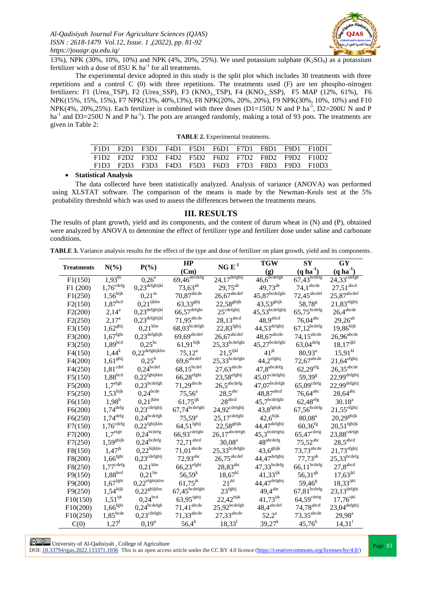

13%), NPK (30%, 10%, 10%) and NPK (4%, 20%, 25%). We used potassium sulphate  $(K_2SO_4)$  as a potassium fertilizer with a dose of  $85U K$  ha<sup>-1</sup> for all treatments.

The experimental device adopted in this study is the split plot which includes 30 treatments with three repetitions and a control C (0) with three repetitions. The treatments used (F) are ten phospho-nitrogen fertilizers: F1 (Urea\_TSP), F2 (Urea\_SSP), F3 (KNO<sub>3</sub>\_TSP), F4 (KNO<sub>3</sub>\_SSP), F5 MAP (12%, 61%), F6 NPK(15%, 15%, 15%), F7 NPK(13%, 40%,13%), F8 NPK(20%, 20%, 20%), F9 NPK(30%, 10%, 10%) and F10 NPK(4%, 20%,25%). Each fertilizer is combined with three doses (D1=150U N and P ha<sup>-1</sup>, D2=200U N and P ha<sup>-1</sup> and D3=250U N and P ha<sup>-1</sup>). The pots are arranged randomly, making a total of 93 pots. The treatments are given in Table 2:

|  | <b>TABLE 2.</b> Experimental treatments. |  |
|--|------------------------------------------|--|
|--|------------------------------------------|--|

|  |  |  |  | F1D1 F2D1 F3D1 F4D1 F5D1 F6D1 F7D1 F8D1 F9D1 F10D1 |
|--|--|--|--|----------------------------------------------------|
|  |  |  |  | F1D2 F2D2 F3D2 F4D2 F5D2 F6D2 F7D2 F8D2 F9D2 F10D2 |
|  |  |  |  | F1D3 F2D3 F3D3 F4D3 F5D3 F6D3 F7D3 F8D3 F9D3 F10D3 |

**Statistical Analysis**

The data collected have been statistically analyzed. Analysis of variance (ANOVA) was performed using XLSTAT software. The comparison of the means is made by the Newman-Keuls test at the 5% probability threshold which was used to assess the differences between the treatments means.

#### **III. RESULTS**

The results of plant growth, yield and its components, and the content of durum wheat in (N) and (P), obtained were analyzed by ANOVA to determine the effect of fertilizer type and fertilizer dose under saline and carbonate conditions.

**TABLE 3.** Variance analysis results for the effect of the type and dose of fertilizer on plant growth, yield and its components.

| $N(\%)$<br><b>Treatments</b> |                           | $P(\% )$                       | HP                                | $NG E-1$                               | <b>TGW</b>                                                   | ${\bf SY}$                     | GY                                                   |
|------------------------------|---------------------------|--------------------------------|-----------------------------------|----------------------------------------|--------------------------------------------------------------|--------------------------------|------------------------------------------------------|
|                              |                           |                                | (Cm)                              |                                        | (g)                                                          | $(q \, ha^{-1})$               | $(q \, ha^{-1})$                                     |
| F1(150)                      | $1,93^{bc}$               | $0,26^{\overline{a}}$          | $69,46 \overline{\text{abcdefg}}$ | $24,17^{\text{defghij}}$               | $46,6^{\text{bcedefgh}}$                                     | $67,43 \frac{\text{bcdefg}}{}$ | $24,33^{\overline{\text{cdefgh}}}$                   |
| F1(200)                      | $1,\!76^{\mathrm{cdefg}}$ | $0,\!23^\mathit{defghijkl}$    | $73,63^{ab}$                      | $29,75^{ab}$                           | 49,73 <sup>ab</sup>                                          | $74,1^{\rm abcde}$             | $27{,}51^{\rm abcd}$                                 |
| F1(250)                      | $1,\!56^{\rm hijk}$       | 0,21 <sup>m</sup>              | $70,87^{\text{abcde}}$            | $26{,}67^{\mbox{\scriptsize{abcdef}}}$ | $45,\!87^{\text{bcdefghi}}$                                  | $72,45$ <sup>abcdef</sup>      | $25,\!87^{\rm abcdef}$                               |
| F2(150)                      | $1,87^{\rm bcd}$          | $0,\!21^{ijklm}$               | $63,33^{g h i j}$                 | $22,\!58^{\rm{ghijk}}$                 | $43,\!53^\text{ghijk}$                                       | 58,78 <sup>g</sup>             | $21,\!83^{\rm efghij}$                               |
| F2(200)                      | $2,14^a$                  | $0,\!23^\mathit{defghijkl}$    | $66{,}57^{\rm defghi}$            | $25^{\text{cdefghij}}$                 | $45,53$ <sup>bcdefghij</sup>                                 | $65{,}75^{\text{bcdefg}}$      | $26,\!4^{\rm abcde}$                                 |
| F2(250)                      | $2,17^{\rm a}$            | $0,\!23^\mathit{defghijkl}$    | $71,95$ <sup>abcde</sup>          | $28,13$ <sup>abcd</sup>                | $48,9$ <sup>abcd</sup>                                       | $76,04^{\text{abc}}$           | $29,26^{ab}$                                         |
| F3(150)                      | $1,62^{\text{ghi}}$       | $0.21$ <sup>klm</sup>          | $68,03^{bcdefgh}$                 | $22,83^{\text{fghi}}$                  | $44,53$ <sup>defghij</sup>                                   | $67,\!12^\mathrm{bcdefg}$      | $19{,}86^{\rm hijk}$                                 |
| F3(200)                      | $1{,}67^\mathrm{fghi}$    | $0,\!23^\mathit{defghijk}$     | $69,69$ <sup>abcdef</sup>         | $26,67^{\mbox{\scriptsize{abcdef}}}$   | $48,67^{\rm abcde}$                                          | $74,15^{\text{abcde}}$         | $26{,}96^{\rm abcde}$                                |
| F3(250)                      | $1,89^{bcd}$              | $0.25^{bc}$                    | $61,\!91^{\rm hijk}$              | $25,33$ <sup>bcdefghi</sup>            | $45{,}27^{\mbox{\scriptsize{bcdef}}\mbox{\scriptsize{ghi}}}$ | $63{,}04^{\rm defg}$           | $18{,}17^{\mathrm{i}\mathrm{j}\mathrm{k}\mathrm{l}}$ |
| F4(150)                      | $1,44^k$                  | $0,\!22^{\mathit{defghijklm}}$ | $75,12^{\rm a}$                   | $21,\!5^{\rm ijkl}$                    | $41^{\rm jk}$                                                | $80,93^{\rm a}$                | $15{,}91^{\rm kl}$                                   |
| F4(200)                      | $1{,}61^{\rm{ghi}}$       | $0.25^{\rm b}$                 | $69,6^{\mbox{abcdef}}$            | $25,33$ <sup>bcdefghi</sup>            | $44,\!2^{\rm efghij}$                                        | $72,67^{\text{abcde}}$         | $21,64^{\text{efghi}}$                               |
| F4(250)                      | $1,81^{\rm cdef}$         | $0,24^{\rm bedef}$             | $68{,}15^{\rm bedef}$             | $27,63^{\rm abcde}$                    | $47,8^{\rm abcdefg}$                                         | $62{,}29^{\rm efg}$            | $26,35^{\text{abcde}}$                               |
| F5(150)                      | $1{,}88^{\rm bcd}$        | $0,\!22^{\mathrm{fghijklm}}$   | $66{,}28^{\rm efghi}$             | $23,\!58^{\rm efghij}$                 | $45,07^{\text{cdefghi}}$                                     | 59,39 <sup>g</sup>             | $22,99^{\text{defghij}}$                             |
| F5(200)                      | $1.7^{\rm efgh}$          | $0,\!23^\mathrm{bcdefgh}$      | $71,29$ <sup>abcde</sup>          | $26,5^{\rm abcdefg}$                   | $47,\!07^{\rm bedefgh}$                                      | $65{,}09^{\rm cdefg}$          | $22,99^{\text{defghij}}$                             |
| F5(250)                      | $1,53^{\text{hijk}}$      | $0,24^{bcde}$                  | $75,56^{\circ}$                   | $28,5^{\rm abc}$                       | $48,\!87^{\rm abcd}$                                         | $76,64$ <sup>abc</sup>         | $28{,}64^{\rm abc}$                                  |
| F6(150)                      | $1{,}98^{\rm b}$          | $0,\!21^{jklm}$                | $61,75^{ijk}$                     | $28^{\rm abcd}$                        | $45,7^{\text{bcdefghi}}$                                     | $62{,}48^{\rm efg}$            | $30.18^a$                                            |
| F6(200)                      | $1,\!74^{\rm defg}$       | $0,23^{\mathrm{cdefghij}}$     | $67{,}74^{\rm bedefghi}$          | $24,92^{\text{cdefghi}}$               | $43,8^{\text{fghijk}}$                                       | $67{,}56^{\hbox{bcdefg}}$      | $21,55^{\text{efghi}}$                               |
| F6(250)                      | $1,\!74^{\rm defg}$       | $0,\!24^{\mathrm{bcdefgh}}$    | $75,59^{\rm a}$                   | $25{,}17^{\rm cdefghi}$                | $42,\!6^{\rm hijk}$                                          | $80,08^{\rm a}$                | $20,\!29^\text{ghijk}$                               |
| F7(150)                      | $1,\!76^{\mathrm{cdefg}}$ | $0,\!22^{\mathrm{fghijklm}}$   | $64,\!51^{fghij}$                 | $22,58^{\text{ghijk}}$                 | $44,47^{\text{defghij}}$                                     | $60{,}36^{\rm fg}$             | $20,\!51^{\rm fghijk}$                               |
| F7(200)                      | $1.7^{\rm efgh}$          | $0,\!24^\mathrm{bcdefg}$       | $66,93$ <sup>cdefghi</sup>        | $26,17^{\rm abcdefgh}$                 | $45,3^{\text{bedefghij}}$                                    | $65{,}47^{\mathrm{cdefg}}$     | $23,88^{\mathrm{cdefgh}}$                            |
| F7(250)                      | $1,59^{\text{ghijk}}$     | $0,\!24^\mathrm{bcdefg}$       | $72,\!71^{\rm abcd}$              | $30,08^{\rm a}$                        | $48^{\rm abcdefg}$                                           | $75,52^{abc}$                  | $28,\!5^{\rm abcd}$                                  |
| F8(150)                      | $1,47^{jk}$               | $0,\!22^{\rm hijklm}$          | $71,\!01^{\rm abcde}$             | $25,33$ <sup>bcdefghi</sup>            | $43,\!6^\text{ghijk}$                                        | $73,73$ <sup>abcde</sup>       | $21,73^{\mathrm{efghi}}$                             |
| F8(200)                      | $1,\!66^\mathrm{fghi}$    | $0,23^{\mathrm{cdefghi}}$      | $72,93^{abc}$                     | $26,75^{\text{abcdef}}$                | $44,\!47^{\rm defghij}$                                      | $77,73^{ab}$                   | $25,33$ <sup>bcdefg</sup>                            |
| F8(250)                      | $1{,}77^{\mathrm{cdefg}}$ | $0,\!21^{ \rm klm}$            | $66{,}23^{\rm efghi}$             | $28{,}83^{\rm abc}$                    | $47,33^{bcdefg}$                                             | $66,\!11^{\mathrm{bcdefg}}$    | $27,\!8^{\rm abcd}$                                  |
| F9(150)                      | $1,88^{\rm bcd}$          | $0.21^{\rm lm}$                | $56,59^{k}$                       | $18,67^{kl}$                           | $41,33^{ijk}$                                                | $56,31^{gh}$                   | $17{,}63^\mathrm{jkl}$                               |
| F9(200)                      | $1{,}67^\mathrm{fghi}$    | $0,\!22^{\rm efghijklm}$       | $61,75^{jk}$                      | $21^{\rm jkl}$                         | $44,\!47^{\rm defghij}$                                      | $59,46^{\circ}$                | $18{,}33^{\mathrm{i}\mathrm{j}\mathrm{k}\mathrm{l}}$ |
| F9(250)                      | $1,\!54^{\rm hijk}$       | $0,\!22^\mathsf{ghijklm}$      | $67{,}45^{\rm bedefghi}$          | $23^{\text{fghij}}$                    | $49,\!4^\mathrm{abc}$                                        | $67,\!81^{\rm bcdefg}$         | $23,13^{\rm defghi}$                                 |
| F10(150)                     | $1,\!51^\mathrm{ijk}$     | $0,24^{bcd}$                   | $63,95$ <sup>fghij</sup>          | $22,42^{\text{hijk}}$                  | $41,73^{ijk}$                                                | $64{,}59^{\rm cdefg}$          | $17{,}76^{\rm i j k l}$                              |
| F10(200)                     | $1,66^{\rm fghi}$         | $0,\!24^{\mathrm{bcdefgh}}$    | $71,\!41^{\rm abcde}$             | $25,92^{\mathrm{bcdefgh}}$             | $48,\!4^{\rm abcdef}$                                        | $74,78$ <sup>abcd</sup>        | $23,\!04^{\rm defghij}$                              |
| F10(250)                     | $1,85^{\rm bede}$         | $0,\!23^{\rm cdefghi}$         | $71,33$ <sup>abcde</sup>          | $27,33$ <sup>abcde</sup>               | $52,2^{\rm a}$                                               | $73,35$ <sup>abcde</sup>       | $29,98^{\rm a}$                                      |
| C(0)                         | $1,27^1$                  | $0,19^n$                       | $56,4^{k}$                        | $18,33^1$                              | $39,27^k$                                                    | $45,76^h$                      | $14,31^1$                                            |

**Page 83**<br>
Page 83<br>
Records the 2000 10000 10000 10000 This is the state of Agriculture DOI:  $10.33794$ /qjas.2022.133371.1036 This is an open access article under the CC BY 4.0 licence (https://creativecommons.org/licenses/by/4.0/)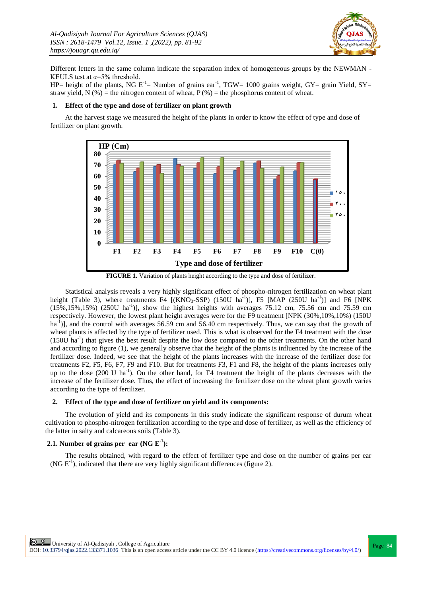

Different letters in the same column indicate the separation index of homogeneous groups by the NEWMAN - KEULS test at  $\alpha = 5\%$  threshold.

HP= height of the plants, NG  $E^{-1}$ = Number of grains ear<sup>-1</sup>, TGW= 1000 grains weight, GY= grain Yield, SY= straw yield, N  $(\%)$  = the nitrogen content of wheat, P  $(\%)$  = the phosphorus content of wheat.

#### **1. Effect of the type and dose of fertilizer on plant growth**

At the harvest stage we measured the height of the plants in order to know the effect of type and dose of fertilizer on plant growth.



**FIGURE 1.** Variation of plants height according to the type and dose of fertilizer.

Statistical analysis reveals a very highly significant effect of phospho-nitrogen fertilization on wheat plant height (Table 3), where treatments F4 [(KNO<sub>3</sub>-SSP) (150U ha<sup>-1</sup>)], F5 [MAP (250U ha<sup>-1</sup>)] and F6 [NPK  $(15\%, 15\%, 15\%)$   $(250U \text{ ha}^{-1})$ , show the highest heights with averages 75.12 cm, 75.56 cm and 75.59 cm respectively. However, the lowest plant height averages were for the F9 treatment [NPK (30%,10%,10%) (150U ha<sup>-1</sup>)], and the control with averages 56.59 cm and 56.40 cm respectively. Thus, we can say that the growth of wheat plants is affected by the type of fertilizer used. This is what is observed for the F4 treatment with the dose (150U ha<sup>-1</sup>) that gives the best result despite the low dose compared to the other treatments. On the other hand and according to figure (1), we generally observe that the height of the plants is influenced by the increase of the fertilizer dose. Indeed, we see that the height of the plants increases with the increase of the fertilizer dose for treatments F2, F5, F6, F7, F9 and F10. But for treatments F3, F1 and F8, the height of the plants increases only up to the dose (200 U ha<sup>-1</sup>). On the other hand, for F4 treatment the height of the plants decreases with the increase of the fertilizer dose. Thus, the effect of increasing the fertilizer dose on the wheat plant growth varies according to the type of fertilizer.

#### **2. Effect of the type and dose of fertilizer on yield and its components:**

The evolution of yield and its components in this study indicate the significant response of durum wheat cultivation to phospho-nitrogen fertilization according to the type and dose of fertilizer, as well as the efficiency of the latter in salty and calcareous soils (Table 3).

## **2.1.** Number of grains per ear  $(NG E^{-1})$ :

The results obtained, with regard to the effect of fertilizer type and dose on the number of grains per ear (NG  $E^{-1}$ ), indicated that there are very highly significant differences (figure 2).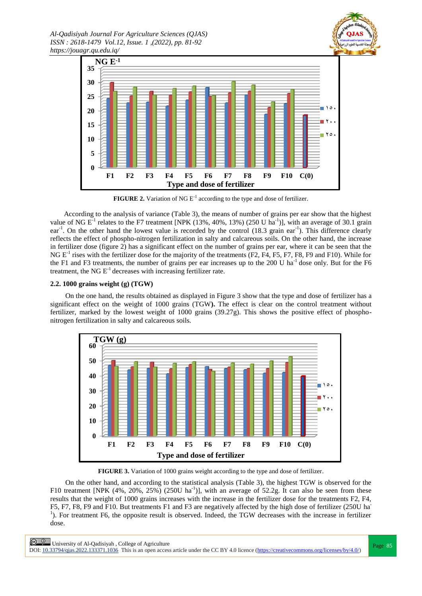



**FIGURE 2.** Variation of NG  $E^{-1}$  according to the type and dose of fertilizer.

 According to the analysis of variance (Table 3), the means of number of grains per ear show that the highest value of NG  $E^{-1}$  relates to the F7 treatment [NPK (13%, 40%, 13%) (250 U ha<sup>-1</sup>)], with an average of 30.1 grain ear<sup>-1</sup>. On the other hand the lowest value is recorded by the control (18.3 grain ear<sup>-1</sup>). This difference clearly reflects the effect of phospho-nitrogen fertilization in salty and calcareous soils. On the other hand, the increase in fertilizer dose (figure 2) has a significant effect on the number of grains per ear, where it can be seen that the NG  $E^{-1}$  rises with the fertilizer dose for the majority of the treatments (F2, F4, F5, F7, F8, F9 and F10). While for the F1 and F3 treatments, the number of grains per ear increases up to the 200 U ha<sup>-1</sup> dose only. But for the F6 treatment, the NG  $E^{-1}$  decreases with increasing fertilizer rate.

#### **2.2. 1000 grains weight (g) (TGW)**

On the one hand, the results obtained as displayed in Figure 3 show that the type and dose of fertilizer has a significant effect on the weight of 1000 grains (TGW**).** The effect is clear on the control treatment without fertilizer, marked by the lowest weight of 1000 grains (39.27g). This shows the positive effect of phosphonitrogen fertilization in salty and calcareous soils.



**FIGURE 3.** Variation of 1000 grains weight according to the type and dose of fertilizer.

On the other hand, and according to the statistical analysis (Table 3), the highest TGW is observed for the F10 treatment [NPK (4%, 20%, 25%) (250U ha<sup>-1</sup>)], with an average of 52.2g. It can also be seen from these results that the weight of 1000 grains increases with the increase in the fertilizer dose for the treatments F2, F4, F5, F7, F8, F9 and F10. But treatments F1 and F3 are negatively affected by the high dose of fertilizer (250U ha-<sup>1</sup>). For treatment F6, the opposite result is observed. Indeed, the TGW decreases with the increase in fertilizer dose.

**Page 85**<br>
Page 85 DOI:  $10.33794$ /qjas.2022.133371.1036 This is an open access article under the CC BY 4.0 licence (https://creativecommons.org/licenses/by/4.0/)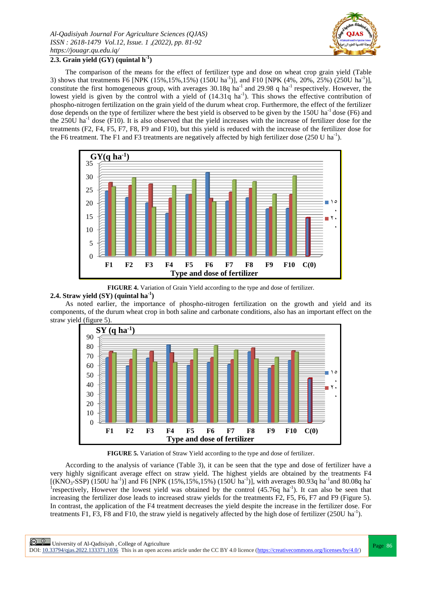

# **2.3. Grain yield (GY) (quintal h-1 )**

The comparison of the means for the effect of fertilizer type and dose on wheat crop grain yield (Table 3) shows that treatments F6 [NPK (15%,15%,15%) (150U ha<sup>-1</sup>)], and F10 [NPK (4%, 20%, 25%) (250U ha<sup>-1</sup>)], constitute the first homogeneous group, with averages  $30.18q$  ha<sup>-1</sup> and  $29.98$  q ha<sup>-1</sup> respectively. However, the lowest yield is given by the control with a yield of  $(14.31q \text{ ha}^{-1})$ . This shows the effective contribution of phospho-nitrogen fertilization on the grain yield of the durum wheat crop. Furthermore, the effect of the fertilizer dose depends on the type of fertilizer where the best yield is observed to be given by the  $150U$  ha<sup>-1</sup> dose (F6) and the  $250U$  ha<sup>-1</sup> dose (F10). It is also observed that the yield increases with the increase of fertilizer dose for the treatments (F2, F4, F5, F7, F8, F9 and F10), but this yield is reduced with the increase of the fertilizer dose for the F6 treatment. The F1 and F3 treatments are negatively affected by high fertilizer dose (250 U ha<sup>-1</sup>).



**FIGURE 4.** Variation of Grain Yield according to the type and dose of fertilizer.

## **2.4. Straw yield (SY) (quintal ha-1 )**

As noted earlier, the importance of phospho-nitrogen fertilization on the growth and yield and its components, of the durum wheat crop in both saline and carbonate conditions, also has an important effect on the straw yield (figure 5).



**FIGURE 5.** Variation of Straw Yield according to the type and dose of fertilizer.

According to the analysis of variance (Table 3), it can be seen that the type and dose of fertilizer have a very highly significant average effect on straw yield. The highest yields are obtained by the treatments F4 [(KNO<sub>3</sub>-SSP) (150U ha<sup>-1</sup>)] and F6 [NPK (15%,15%,15%) (150U ha<sup>-1</sup>)], with averages 80.93q ha<sup>-1</sup> and 80.08q ha<sup>-</sup> <sup>1</sup> respectively, However the lowest yield was obtained by the control (45.76q ha<sup>-1</sup>). It can also be seen that increasing the fertilizer dose leads to increased straw yields for the treatments F2, F5, F6, F7 and F9 (Figure 5). In contrast, the application of the F4 treatment decreases the yield despite the increase in the fertilizer dose. For treatments F1, F3, F8 and F10, the straw yield is negatively affected by the high dose of fertilizer (250U ha<sup>-1</sup>).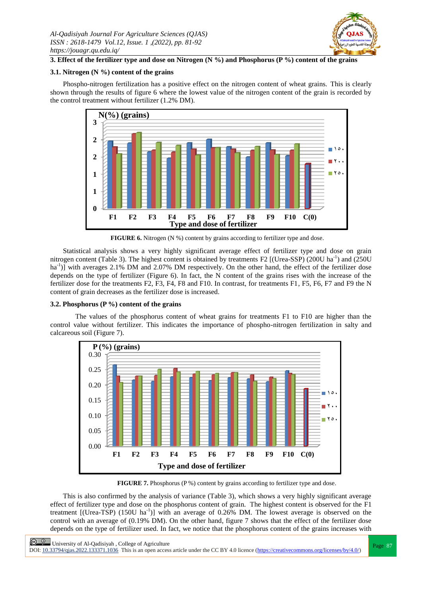

## **3. Effect of the fertilizer type and dose on Nitrogen (N %) and Phosphorus (P %) content of the grains**

## **3.1. Nitrogen (N %) content of the grains**

Phospho-nitrogen fertilization has a positive effect on the nitrogen content of wheat grains. This is clearly shown through the results of figure 6 where the lowest value of the nitrogen content of the grain is recorded by the control treatment without fertilizer (1.2% DM).



**FIGURE 6.** Nitrogen (N %) content by grains according to fertilizer type and dose.

Statistical analysis shows a very highly significant average effect of fertilizer type and dose on grain nitrogen content (Table 3). The highest content is obtained by treatments F2 [(Urea-SSP) (200U ha<sup>-1</sup>) and (250U ha<sup>-1</sup>)] with averages 2.1% DM and 2.07% DM respectively. On the other hand, the effect of the fertilizer dose depends on the type of fertilizer (Figure 6). In fact, the N content of the grains rises with the increase of the fertilizer dose for the treatments F2, F3, F4, F8 and F10. In contrast, for treatments F1, F5, F6, F7 and F9 the N content of grain decreases as the fertilizer dose is increased.

#### **3.2. Phosphorus (P %) content of the grains**

The values of the phosphorus content of wheat grains for treatments F1 to F10 are higher than the control value without fertilizer. This indicates the importance of phospho-nitrogen fertilization in salty and calcareous soil (Figure 7).



**FIGURE 7.** Phosphorus (P %) content by grains according to fertilizer type and dose.

This is also confirmed by the analysis of variance (Table 3), which shows a very highly significant average effect of fertilizer type and dose on the phosphorus content of grain. The highest content is observed for the F1 treatment  $[(Urea-TSP) (150U ha<sup>-1</sup>)]$  with an average of 0.26% DM. The lowest average is observed on the control with an average of (0.19% DM). On the other hand, figure 7 shows that the effect of the fertilizer dose depends on the type of fertilizer used. In fact, we notice that the phosphorus content of the grains increases with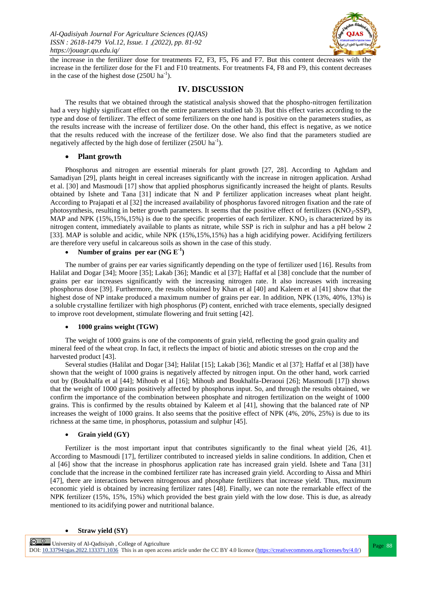

the increase in the fertilizer dose for treatments F2, F3, F5, F6 and F7. But this content decreases with the increase in the fertilizer dose for the F1 and F10 treatments. For treatments F4, F8 and F9, this content decreases in the case of the highest dose  $(250U \text{ ha}^{-1})$ .

# **IV. DISCUSSION**

The results that we obtained through the statistical analysis showed that the phospho-nitrogen fertilization had a very highly significant effect on the entire parameters studied tab 3). But this effect varies according to the type and dose of fertilizer. The effect of some fertilizers on the one hand is positive on the parameters studies, as the results increase with the increase of fertilizer dose. On the other hand, this effect is negative, as we notice that the results reduced with the increase of the fertilizer dose. We also find that the parameters studied are negatively affected by the high dose of fertilizer  $(250U \text{ ha}^{-1})$ .

#### **Plant growth**

Phosphorus and nitrogen are essential minerals for plant growth [27, 28]. According to Aghdam and Samadiyan [29], plants height in cereal increases significantly with the increase in nitrogen application. Arshad et al. [30] and Masmoudi [17] show that applied phosphorus significantly increased the height of plants. Results obtained by Ishete and Tana [31] indicate that N and P fertilizer application increases wheat plant height. According to Prajapati et al [32] the increased availability of phosphorus favored nitrogen fixation and the rate of photosynthesis, resulting in better growth parameters. It seems that the positive effect of fertilizers ( $\text{KNO}_3\text{-SSP}$ ), MAP and NPK (15%,15%,15%) is due to the specific properties of each fertilizer. KNO<sub>3</sub> is characterized by its nitrogen content, immediately available to plants as nitrate, while SSP is rich in sulphur and has a pH below 2 [33]. MAP is soluble and acidic, while NPK (15%,15%,15%) has a high acidifying power. Acidifying fertilizers are therefore very useful in calcareous soils as shown in the case of this study.

## • Number of grains per ear  $(NG E<sup>-1</sup>)$

The number of grains per ear varies significantly depending on the type of fertilizer used [16]. Results from Halilat and Dogar [34]; Moore [35]; Lakab [36]; Mandic et al [37]; Haffaf et al [38] conclude that the number of grains per ear increases significantly with the increasing nitrogen rate. It also increases with increasing phosphorus dose [39]. Furthermore, the results obtained by Khan et al [40] and Kaleem et al [41] show that the highest dose of NP intake produced a maximum number of grains per ear. In addition, NPK (13%, 40%, 13%) is a soluble crystalline fertilizer with high phosphorus (P) content, enriched with trace elements, specially designed to improve root development, stimulate flowering and fruit setting [42].

#### **1000 grains weight (TGW)**

The weight of 1000 grains is one of the components of grain yield, reflecting the good grain quality and mineral feed of the wheat crop. In fact, it reflects the impact of biotic and abiotic stresses on the crop and the harvested product [43].

Several studies (Halilat and Dogar [34]; Halilat [15]; Lakab [36]; Mandic et al [37]; Haffaf et al [38]) have shown that the weight of 1000 grains is negatively affected by nitrogen input. On the other hand, work carried out by (Boukhalfa et al [44]; Mihoub et al [16]; Mihoub and Boukhalfa-Deraoui [26]; Masmoudi [17]) shows that the weight of 1000 grains positively affected by phosphorus input. So, and through the results obtained, we confirm the importance of the combination between phosphate and nitrogen fertilization on the weight of 1000 grains. This is confirmed by the results obtained by Kaleem et al [41], showing that the balanced rate of NP increases the weight of 1000 grains. It also seems that the positive effect of NPK (4%, 20%, 25%) is due to its richness at the same time, in phosphorus, potassium and sulphur [45].

#### **Grain yield (GY)**

Fertilizer is the most important input that contributes significantly to the final wheat yield [26, 41]. According to Masmoudi [17], fertilizer contributed to increased yields in saline conditions. In addition, Chen et al [46] show that the increase in phosphorus application rate has increased grain yield. Ishete and Tana [31] conclude that the increase in the combined fertilizer rate has increased grain yield. According to Aissa and Mhiri [47], there are interactions between nitrogenous and phosphate fertilizers that increase yield. Thus, maximum economic yield is obtained by increasing fertilizer rates [48]. Finally, we can note the remarkable effect of the NPK fertilizer (15%, 15%, 15%) which provided the best grain yield with the low dose. This is due, as already mentioned to its acidifying power and nutritional balance.

#### **Straw yield (SY)**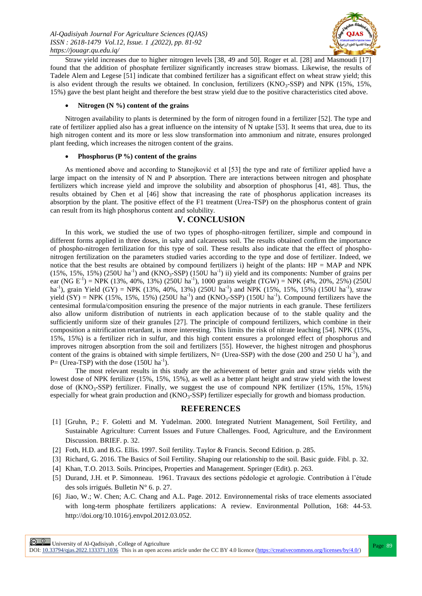

Straw yield increases due to higher nitrogen levels [38, 49 and 50]. Roger et al. [28] and Masmoudi [17] found that the addition of phosphate fertilizer significantly increases straw biomass. Likewise, the results of Tadele Alem and Legese [51] indicate that combined fertilizer has a significant effect on wheat straw yield; this is also evident through the results we obtained. In conclusion, fertilizers  $(KNO<sub>3</sub>-SSP)$  and NPK (15%, 15%, 15%) gave the best plant height and therefore the best straw yield due to the positive characteristics cited above.

#### **Nitrogen (N %) content of the grains**

Nitrogen availability to plants is determined by the form of nitrogen found in a fertilizer [52]. The type and rate of fertilizer applied also has a great influence on the intensity of N uptake [53]. It seems that urea, due to its high nitrogen content and its more or less slow transformation into ammonium and nitrate, ensures prolonged plant feeding, which increases the nitrogen content of the grains.

#### **Phosphorus (P %) content of the grains**

As mentioned above and according to Stanojković et al [53] the type and rate of fertilizer applied have a large impact on the intensity of N and P absorption. There are interactions between nitrogen and phosphate fertilizers which increase yield and improve the solubility and absorption of phosphorus [41, 48]. Thus, the results obtained by Chen et al [46] show that increasing the rate of phosphorus application increases its absorption by the plant. The positive effect of the F1 treatment (Urea-TSP) on the phosphorus content of grain can result from its high phosphorus content and solubility.

# **V. CONCLUSION**

In this work, we studied the use of two types of phospho-nitrogen fertilizer, simple and compound in different forms applied in three doses, in salty and calcareous soil. The results obtained confirm the importance of phospho-nitrogen fertilization for this type of soil. These results also indicate that the effect of phosphonitrogen fertilization on the parameters studied varies according to the type and dose of fertilizer. Indeed, we notice that the best results are obtained by compound fertilizers i) height of the plants: HP = MAP and NPK  $(15\%, 15\%, 15\%)$   $(250U \text{ ha}^{-1})$  and  $(KNO<sub>3</sub>-SSP)$   $(150U \text{ ha}^{-1})$  ii) yield and its components: Number of grains per ear (NG E<sup>-1</sup>) = NPK (13%, 40%, 13%) (250U ha<sup>-1</sup>), 1000 grains weight (TGW) = NPK (4%, 20%, 25%) (250U ha<sup>-1</sup>), grain Yield (GY) = NPK (13%, 40%, 13%) (250U ha<sup>-1</sup>) and NPK (15%, 15%, 15%) (150U ha<sup>-1</sup>), straw yield  $(SY)$  = NPK (15%, 15%, 15%) (250U ha<sup>-1</sup>) and (KNO<sub>3</sub>-SSP) (150U ha<sup>-1</sup>). Compound fertilizers have the centesimal formula/composition ensuring the presence of the major nutrients in each granule. These fertilizers also allow uniform distribution of nutrients in each application because of to the stable quality and the sufficiently uniform size of their granules [27]. The principle of compound fertilizers, which combine in their composition a nitrification retardant, is more interesting. This limits the risk of nitrate leaching [54]. NPK (15%, 15%, 15%) is a fertilizer rich in sulfur, and this high content ensures a prolonged effect of phosphorus and improves nitrogen absorption from the soil and fertilizers [55]. However, the highest nitrogen and phosphorus content of the grains is obtained with simple fertilizers,  $N=$  (Urea-SSP) with the dose (200 and 250 U ha<sup>-1</sup>), and  $P = (Urea-TSP)$  with the dose  $(150U ha<sup>-1</sup>)$ .

The most relevant results in this study are the achievement of better grain and straw yields with the lowest dose of NPK fertilizer (15%, 15%, 15%), as well as a better plant height and straw yield with the lowest dose of  $(KNO<sub>3</sub>-SSP)$  fertilizer. Finally, we suggest the use of compound NPK fertilizer (15%, 15%, 15%) especially for wheat grain production and (KNO<sub>3</sub>-SSP) fertilizer especially for growth and biomass production.

# **REFERENCES**

- [1] [Gruhn, P.; F. Goletti and M. Yudelman. 2000. Integrated Nutrient Management, Soil Fertility, and Sustainable Agriculture: Current Issues and Future Challenges. Food, Agriculture, and the Environment Discussion. BRIEF. p. 32.
- [2] Foth, H.D. and B.G. Ellis. 1997. Soil fertility. Taylor & Francis. Second Edition. p. 285.
- [3] Richard, G. 2016. The Basics of Soil Fertility. Shaping our relationship to the soil. Basic guide. Fibl. p. 32.
- [4] Khan, T.O. 2013. Soils. Principes, Properties and Management. Springer (Edit). p. 263.
- [5] Durand, J.H. et P. Simonneau. 1961. Travaux des sections pédologie et agrologie. Contribution à l"étude des sols irrigués. Bulletin N° 6. p. 27.
- [6] Jiao, W.; W. Chen; A.C. Chang and A.L. Page. 2012. Environnemental risks of trace elements associated with long-term phosphate fertilizers applications: A review. Environmental Pollution, 168: 44-53. http://doi.org/10.1016/j.envpol.2012.03.052.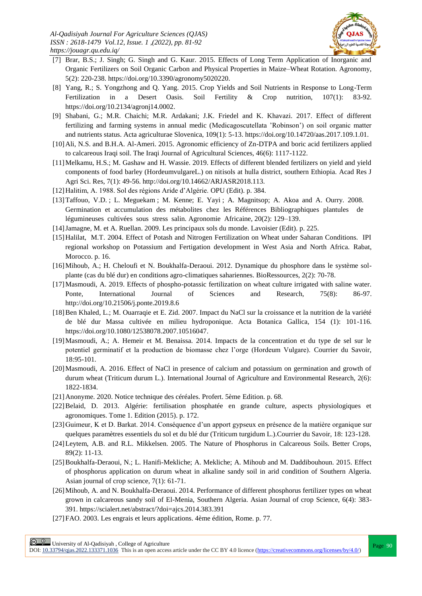

- [7] Brar, B.S.; J. Singh; G. Singh and G. Kaur. 2015. Effects of Long Term Application of Inorganic and Organic Fertilizers on Soil Organic Carbon and Physical Properties in Maize–Wheat Rotation. Agronomy, 5(2): 220-238. https://doi.org/10.3390/agronomy5020220.
- [8] Yang, R.; S. Yongzhong and Q. Yang. 2015. Crop Yields and Soil Nutrients in Response to Long-Term Fertilization in a Desert Oasis. Soil Fertility & Crop nutrition, 107(1): 83-92. [https://doi.org/10.2134/agronj14.0002.](https://doi.org/10.2134/agronj14.0002)
- [9] Shabani, G.; M.R. Chaichi; M.R. Ardakani; J.K. Friedel and K. Khavazi. 2017. Effect of different fertilizing and farming systems in annual medic (Medicagoscutellata "Robinson") on soil organic matter and nutrients status. Acta agriculturae Slovenica, 109(1): 5-13. https://doi.org/10.14720/aas.2017.109.1.01.
- [10]Ali, N.S. and B.H.A. Al-Ameri. 2015. Agronomic efficiency of Zn-DTPA and boric acid fertilizers applied to calcareous Iraqi soil. The Iraqi Journal of Agricultural Sciences, 46(6): 1117-1122.
- [11]Melkamu, H.S.; M. Gashaw and H. Wassie. 2019. Effects of different blended fertilizers on yield and yield components of food barley (HordeumvulgareL.) on nitisols at hulla district, southern Ethiopia. Acad Res J Agri Sci. Res, 7(1): 49-56. http://doi.org/10.14662/ARJASR2018.113.
- [12]Halitim, A. 1988. Sol des régions Aride d"Algérie. OPU (Edit). p. 384.
- [13]Taffouo, V.D. ; L. Meguekam ; M. Kenne; E. Yayi ; A. Magnitsop; A. Akoa and A. Ourry. 2008. Germination et accumulation des métabolites chez les Références Bibliographiques plantules de légumineuses cultivées sous stress salin. Agronomie Africaine, 20(2): 129–139.
- [14]Jamagne, M. et A. Ruellan. 2009. Les principaux sols du monde. Lavoisier (Edit). p. 225.
- [15]Halilat, M.T. 2004. Effect of Potash and Nitrogen Fertilization on Wheat under Saharan Conditions. IPI regional workshop on Potassium and Fertigation development in West Asia and North Africa. Rabat, Morocco. p. 16.
- [16]Mihoub, A.; H. Cheloufi et N. Boukhalfa-Deraoui. 2012. Dynamique du phosphore dans le système solplante (cas du blé dur) en conditions agro-climatiques sahariennes. BioRessources, 2(2): 70-78.
- [17]Masmoudi, A. 2019. Effects of phospho-potassic fertilization on wheat culture irrigated with saline water. Ponte, International Journal of Sciences and Research, 75(8): 86-97. <http://doi.org/10.21506/j.ponte.2019.8.6>
- [18]Ben Khaled, L.; M. Ouarraqie et E. Zid. 2007. Impact du NaCl sur la croissance et la nutrition de la variété de blé dur Massa cultivée en milieu hydroponique. Acta Botanica Gallica, 154 (1): 101-116. [https://doi.org/10.1080/12538078.2007.10516047.](https://doi.org/10.1080/12538078.2007.10516047)
- [19]Masmoudi, A.; A. Hemeir et M. Benaissa. 2014. Impacts de la concentration et du type de sel sur le potentiel germinatif et la production de biomasse chez l"orge (Hordeum Vulgare). Courrier du Savoir, 18:95-101.
- [20]Masmoudi, A. 2016. Effect of NaCl in presence of calcium and potassium on germination and growth of durum wheat (Triticum durum L.). International Journal of Agriculture and Environmental Research, 2(6): 1822-1834.
- [21]Anonyme. 2020. Notice technique des céréales. Profert. 5ème Edition. p. 68.
- [22]Belaid, D. 2013. Algérie: fertilisation phosphatée en grande culture, aspects physiologiques et agronomiques. Tome 1. Edition (2015). p. 172.
- [23]Guimeur, K et D. Barkat. 2014. Conséquence d"un apport gypseux en présence de la matière organique sur quelques paramètres essentiels du sol et du blé dur (Triticum turgidum L.).Courrier du Savoir, 18: 123-128.
- [24]Leytem, A.B. and R.L. Mikkelsen. 2005. The Nature of Phosphorus in Calcareous Soils. Better Crops, 89(2): 11-13.
- [25]Boukhalfa-Deraoui, N.; L. Hanifi-Mekliche; A. Mekliche; A. Mihoub and M. Daddibouhoun. 2015. [Effect](https://www.cabdirect.org/cabdirect/abstract/20153225745)  [of phosphorus application on durum wheat in alkaline sandy soil in arid condition of Southern Algeria.](https://www.cabdirect.org/cabdirect/abstract/20153225745) Asian journal of crop science, 7(1): 61-71.
- [26]Mihoub, A. and N. Boukhalfa-Deraoui. 2014. Performance of different phosphorus fertilizer types on wheat grown in calcareous sandy soil of El-Menia, Southern Algeria. Asian Journal of crop Science, 6(4): 383- 391.<https://scialert.net/abstract/?doi=ajcs.2014.383.391>
- [27]FAO. 2003. Les engrais et leurs applications. 4ème édition, Rome. p. 77.

**Page 90**<br>
Page 90 University of Al-Qadisiyah, College of Agriculture<br>
Page 90

DOI:  $10.33794$ /qjas.2022.133371.1036 This is an open access article under the CC BY 4.0 licence (https://creativecommons.org/licenses/by/4.0/)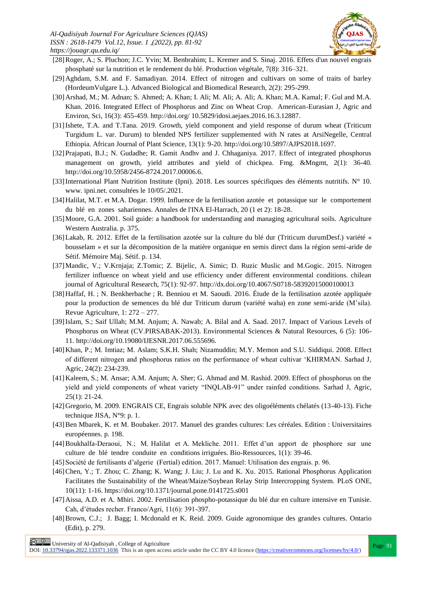

- [28]Roger, A.; S. Pluchon; J.C. Yvin; M. Benbrahim; L. Kremer and S. Sinaj. 2016. Effets d'un nouvel engrais phosphaté sur la nutrition et le rendement du blé. Production végétale, 7(8): 316–321.
- [29]Aghdam, S.M. and F. Samadiyan. 2014. Effect of nitrogen and cultivars on some of traits of barley (HordeumVulgare L.). Advanced Biological and Biomedical Research, 2(2): 295-299.
- [30] Arshad, M.; M. Adnan; S. Ahmed; A. Khan; I. Ali; M. Ali; A. Ali; A. Khan; M.A. Kamal; F. Gul and M.A. Khan. 2016. Integrated Effect of Phosphorus and Zinc on Wheat Crop. American-Eurasian J, Agric and Environ, Sci, 16(3): 455-459. http://doi.org/ 10.5829/idosi.aejaes.2016.16.3.12887.
- [31]Ishete, T.A. and T.Tana. 2019. Growth, yield component and yield response of durum wheat (Triticum Turgidum L. var. Durum) to blended NPS fertilizer supplemented with N rates at ArsiNegelle, Central Ethiopia. African Journal of Plant Science, 13(1): 9-20. http://doi.org/10.5897/AJPS2018.1697.
- [32]Prajapati, B.J.; N. Gudadhe; R. Gamit Andhv and J. Chhaganiya. 2017. Effect of integrated phosphorus management on growth, yield attributes and yield of chickpea. Fmg. &Mngmt, 2(1): 36-40. http://doi.org/10.5958/2456-8724.2017.00006.6.
- [33]International Plant Nutrition Institute (Ipni). 2018. Les sources spécifiques des éléments nutritifs. N° 10. www. ipni.net. consultées le 10/05/.2021.
- [34]Halilat, M.T. et M.A. Dogar. 1999. Influence de la fertilisation azotée et potassique sur le comportement du blé en zones sahariennes. Annales de l'INA El-Harrach, 20 (1 et 2): 18-28.
- [35]Moore, G.A. 2001. Soil guide: a handbook for understanding and managing agricultural soils. Agriculture Western Australia. p. 375.
- [36]Lakab, R. 2012. Effet de la fertilisation azotée sur la culture du blé dur (Triticum durumDesf.) variété « bousselam » et sur la décomposition de la matière organique en semis direct dans la région semi-aride de Sétif. Mémoire Maj. Sétif. p. 134.
- [37]Mandic, V.; V.Krnjaja; Z.Tomic; Z. Bijelic, A. Simic; D. Ruzic Muslic and M.Gogic. 2015. Nitrogen fertilizer influence on wheat yield and use efficiency under different environmental conditions. chilean journal of Agricultural Research, 75(1): 92-97. http://dx.doi.org/10.4067/S0718-58392015000100013
- [38]Haffaf, H. ; N. Benkherbache ; R. Benniou et M. Saoudi. 2016. Étude de la fertilisation azotée appliquée pour la production de semences du blé dur Triticum durum (variété waha) en zone semi-aride (M"sila). Revue Agriculture, 1: 272 – 277.
- [39]Islam, S.; Saif Ullah; M.M. Anjum; A. Nawab; A. Bilal and A. Saad. 2017. Impact of Various Levels of Phosphorus on Wheat (CV.PIRSABAK-2013). Environmental Sciences & Natural Resources, 6 (5): 106- 11. http://doi.org/10.19080/IJESNR.2017.06.555696.
- [40]Khan, P.; M. Imtiaz; M. Aslam; S.K.H. Shah; Nizamuddin; M.Y. Memon and S.U. Siddiqui. 2008. Effect of different nitrogen and phosphorus ratios on the performance of wheat cultivar "KHIRMAN. Sarhad J, Agric, 24(2): 234-239.
- [41]Kaleem, S.; M. Ansar; A.M. Anjum; A. Sher; G. Ahmad and M. Rashid. 2009. Effect of phosphorus on the yield and yield components of wheat variety "INQLAB-91" under rainfed conditions. Sarhad J, Agric, 25(1): 21-24.
- [42]Gregorio, M. 2009. ENGRAIS CE, Engrais soluble NPK avec des oligoéléments chélatés (13-40-13). Fiche technique JISA, N°9: p. 1.
- [43]Ben Mbarek, K. et M. Boubaker. 2017. Manuel des grandes cultures: Les céréales. Edition : Universitaires européennes. p. 198.
- [44]Boukhalfa-Deraoui, N.; M. Halilat et A. Mekliche. 2011. Effet d"un apport de phosphore sur une culture de blé tendre conduite en conditions irriguées. Bio-Ressources, 1(1): 39-46.
- [45]Société de fertilisants d"algerie (Fertial) edition. 2017. Manuel: Utilisation des engrais. p. 96.
- [46]Chen, Y.; T. Zhou; C. Zhang; K. Wang; J. Liu; J. Lu and K. Xu. 2015. Rational Phosphorus Application Facilitates the Sustainability of the Wheat/Maize/Soybean Relay Strip Intercropping System. PLoS ONE, 10(11): 1-16[. https://doi.org/10.1371/journal.pone.0141725.s001](https://doi.org/10.1371/journal.pone.0141725.s001)
- [47]Aissa, A.D. et A. Mhiri. 2002. Fertilisation phospho-potassique du blé dur en culture intensive en Tunisie. Cah, d"études recher. Franco/Agri, 11(6): 391-397.
- [48]Brown, C.J.; J. Bagg; I. Mcdonald et K. Reid. 2009. Guide agronomique des grandes cultures. Ontario (Edit), p. 279.

 $\frac{\odot}{\textrm{1}}$  University of Al-Qadisiyah , College of Agriculture

DOI:  $10.33794$ /qjas.2022.133371.1036 This is an open access article under the CC BY 4.0 licence (https://creativecommons.org/licenses/by/4.0/)